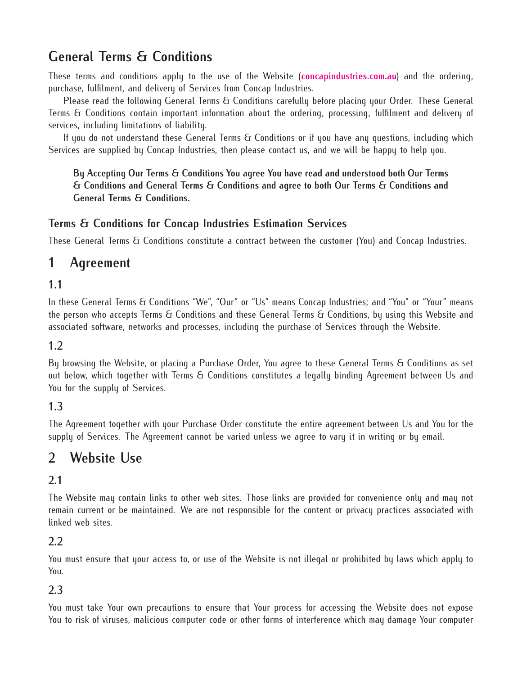# **General Terms & Conditions**

These terms and conditions apply to the use of the Website (**[concapindustries.com.au](http://concapindustries.com.au)**) and the ordering, purchase, fulfilment, and delivery of Services from Concap Industries.

Please read the following General Terms & Conditions carefully before placing your Order. These General Terms & Conditions contain important information about the ordering, processing, fulfilment and delivery of services, including limitations of liability.

If you do not understand these General Terms & Conditions or if you have any questions, including which Services are supplied by Concap Industries, then please contact us, and we will be happy to help you.

**By Accepting Our Terms & Conditions You agree You have read and understood both Our Terms & Conditions and General Terms & Conditions and agree to both Our Terms & Conditions and General Terms & Conditions.**

### **Terms & Conditions for Concap Industries Estimation Services**

These General Terms & Conditions constitute a contract between the customer (You) and Concap Industries.

# **1 Agreement**

#### **1.1**

In these General Terms & Conditions "We", "Our" or "Us" means Concap Industries; and "You" or "Your" means the person who accepts Terms & Conditions and these General Terms & Conditions, by using this Website and associated software, networks and processes, including the purchase of Services through the Website.

#### **1.2**

By browsing the Website, or placing a Purchase Order, You agree to these General Terms & Conditions as set out below, which together with Terms & Conditions constitutes a legally binding Agreement between Us and You for the supply of Services.

### **1.3**

The Agreement together with your Purchase Order constitute the entire agreement between Us and You for the supply of Services. The Agreement cannot be varied unless we agree to vary it in writing or by email.

## **2 Website Use**

### **2.1**

The Website may contain links to other web sites. Those links are provided for convenience only and may not remain current or be maintained. We are not responsible for the content or privacy practices associated with linked web sites.

#### **2.2**

You must ensure that your access to, or use of the Website is not illegal or prohibited by laws which apply to You.

#### **2.3**

You must take Your own precautions to ensure that Your process for accessing the Website does not expose You to risk of viruses, malicious computer code or other forms of interference which may damage Your computer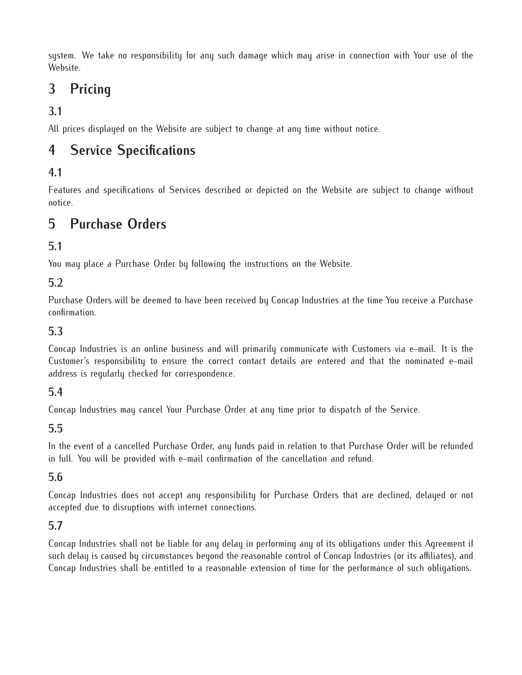system. We take no responsibility for any such damage which may arise in connection with Your use of the Website.

# **3 Pricing**

## **3.1**

All prices displayed on the Website are subject to change at any time without notice.

# **4 Service Specifications**

### **4.1**

Features and specifications of Services described or depicted on the Website are subject to change without notice.

## **5 Purchase Orders**

### **5.1**

You may place a Purchase Order by following the instructions on the Website.

### **5.2**

Purchase Orders will be deemed to have been received by Concap Industries at the time You receive a Purchase confirmation.

### **5.3**

Concap Industries is an online business and will primarily communicate with Customers via e-mail. It is the Customer's responsibility to ensure the correct contact details are entered and that the nominated e-mail address is regularly checked for correspondence.

### **5.4**

Concap Industries may cancel Your Purchase Order at any time prior to dispatch of the Service.

### **5.5**

In the event of a cancelled Purchase Order, any funds paid in relation to that Purchase Order will be refunded in full. You will be provided with e-mail confirmation of the cancellation and refund.

### **5.6**

Concap Industries does not accept any responsibility for Purchase Orders that are declined, delayed or not accepted due to disruptions with internet connections.

### **5.7**

Concap Industries shall not be liable for any delay in performing any of its obligations under this Agreement if such delay is caused by circumstances beyond the reasonable control of Concap Industries (or its affiliates), and Concap Industries shall be entitled to a reasonable extension of time for the performance of such obligations.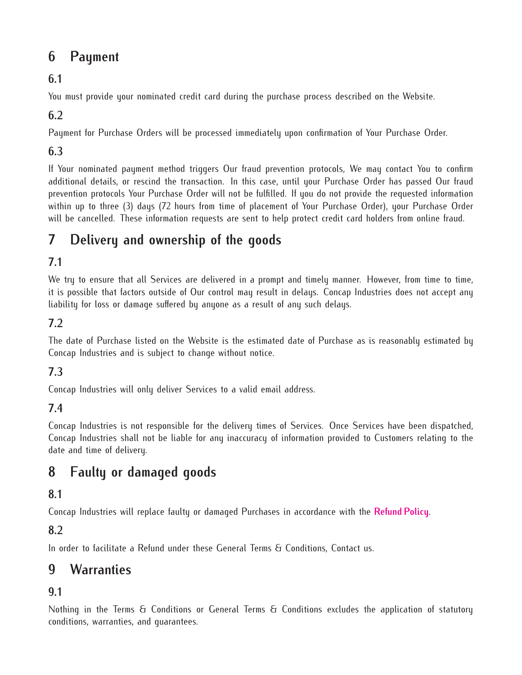# **6 Payment**

## **6.1**

You must provide your nominated credit card during the purchase process described on the Website.

### **6.2**

Payment for Purchase Orders will be processed immediately upon confirmation of Your Purchase Order.

### **6.3**

If Your nominated payment method triggers Our fraud prevention protocols, We may contact You to confirm additional details, or rescind the transaction. In this case, until your Purchase Order has passed Our fraud prevention protocols Your Purchase Order will not be fulfilled. If you do not provide the requested information within up to three (3) days (72 hours from time of placement of Your Purchase Order), your Purchase Order will be cancelled. These information requests are sent to help protect credit card holders from online fraud.

# **7 Delivery and ownership of the goods**

## **7.1**

We try to ensure that all Services are delivered in a prompt and timely manner. However, from time to time, it is possible that factors outside of Our control may result in delays. Concap Industries does not accept any liability for loss or damage suffered by anyone as a result of any such delays.

### **7.2**

The date of Purchase listed on the Website is the estimated date of Purchase as is reasonably estimated by Concap Industries and is subject to change without notice.

### **7.3**

Concap Industries will only deliver Services to a valid email address.

### **7.4**

Concap Industries is not responsible for the delivery times of Services. Once Services have been dispatched, Concap Industries shall not be liable for any inaccuracy of information provided to Customers relating to the date and time of delivery.

# **8 Faulty or damaged goods**

### **8.1**

Concap Industries will replace faulty or damaged Purchases in accordance with the **[Refund Policy](http://concapindustries.com.au/refunds)**.

### **8.2**

In order to facilitate a Refund under these General Terms & Conditions, Contact us.

# **9 Warranties**

### **9.1**

Nothing in the Terms & Conditions or General Terms & Conditions excludes the application of statutory conditions, warranties, and guarantees.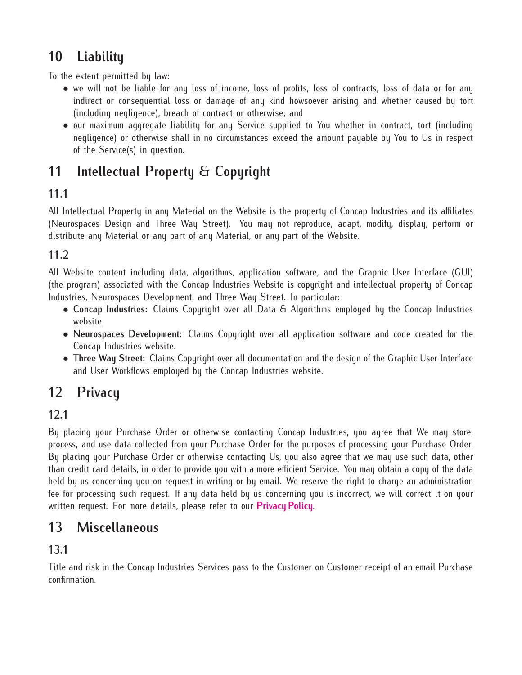# **10 Liability**

To the extent permitted by law:

- we will not be liable for any loss of income, loss of profits, loss of contracts, loss of data or for any indirect or consequential loss or damage of any kind howsoever arising and whether caused by tort (including negligence), breach of contract or otherwise; and
- our maximum aggregate liability for any Service supplied to You whether in contract, tort (including negligence) or otherwise shall in no circumstances exceed the amount payable by You to Us in respect of the Service(s) in question.

# **11 Intellectual Property & Copyright**

## **11.1**

All Intellectual Property in any Material on the Website is the property of Concap Industries and its affiliates (Neurospaces Design and Three Way Street). You may not reproduce, adapt, modify, display, perform or distribute any Material or any part of any Material, or any part of the Website.

### **11.2**

All Website content including data, algorithms, application software, and the Graphic User Interface (GUI) (the program) associated with the Concap Industries Website is copyright and intellectual property of Concap Industries, Neurospaces Development, and Three Way Street. In particular:

- *•* **Concap Industries:** Claims Copyright over all Data & Algorithms employed by the Concap Industries website.
- *•* **Neurospaces Development:** Claims Copyright over all application software and code created for the Concap Industries website.
- *•* **Three Way Street:** Claims Copyright over all documentation and the design of the Graphic User Interface and User Workflows employed by the Concap Industries website.

# **12 Privacy**

## **12.1**

By placing your Purchase Order or otherwise contacting Concap Industries, you agree that We may store, process, and use data collected from your Purchase Order for the purposes of processing your Purchase Order. By placing your Purchase Order or otherwise contacting Us, you also agree that we may use such data, other than credit card details, in order to provide you with a more efficient Service. You may obtain a copy of the data held by us concerning you on request in writing or by email. We reserve the right to charge an administration fee for processing such request. If any data held by us concerning you is incorrect, we will correct it on your written request. For more details, please refer to our **[Privacy Policy](http://concapindustries.com.au/privacy)**.

# **13 Miscellaneous**

### **13.1**

Title and risk in the Concap Industries Services pass to the Customer on Customer receipt of an email Purchase confirmation.